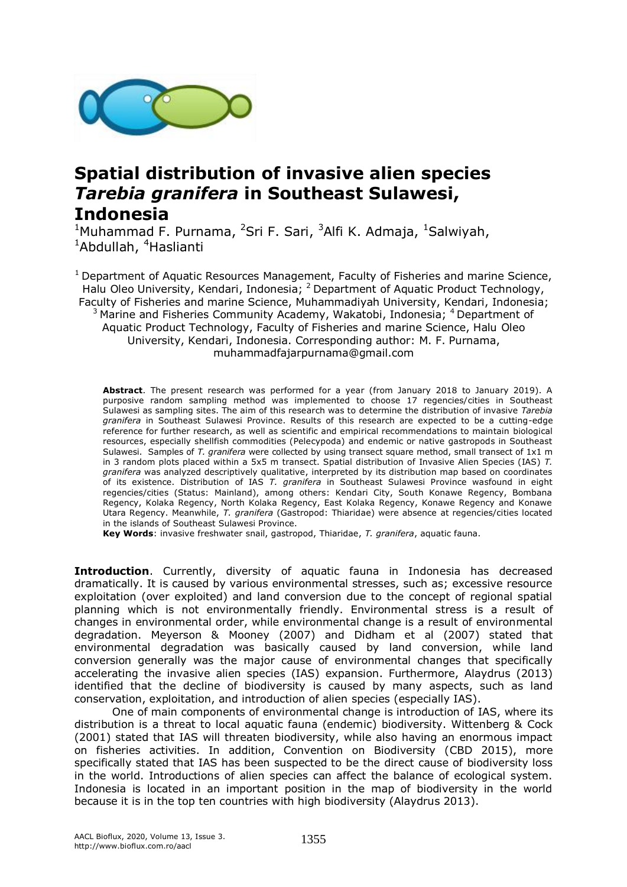

## **Spatial distribution of invasive alien species** *Tarebia granifera* **in Southeast Sulawesi, Indonesia**

<sup>1</sup>Muhammad F. Purnama, <sup>2</sup>Sri F. Sari, <sup>3</sup>Alfi K. Admaja, <sup>1</sup>Salwiyah, <sup>1</sup>Abdullah, <sup>4</sup>Haslianti

 $1$  Department of Aquatic Resources Management, Faculty of Fisheries and marine Science, Halu Oleo University, Kendari, Indonesia;  $^2$  Department of Aquatic Product Technology, Faculty of Fisheries and marine Science, Muhammadiyah University, Kendari, Indonesia;  $3$  Marine and Fisheries Community Academy, Wakatobi, Indonesia;  $4$  Department of Aquatic Product Technology, Faculty of Fisheries and marine Science, Halu Oleo University, Kendari, Indonesia. Corresponding author: M. F. Purnama, muhammadfajarpurnama@gmail.com

**Abstract**. The present research was performed for a year (from January 2018 to January 2019). A purposive random sampling method was implemented to choose 17 regencies/cities in Southeast Sulawesi as sampling sites. The aim of this research was to determine the distribution of invasive *Tarebia granifera* in Southeast Sulawesi Province. Results of this research are expected to be a cutting-edge reference for further research, as well as scientific and empirical recommendations to maintain biological resources, especially shellfish commodities (Pelecypoda) and endemic or native gastropods in Southeast Sulawesi. Samples of *T. granifera* were collected by using transect square method, small transect of 1x1 m in 3 random plots placed within a 5x5 m transect. Spatial distribution of Invasive Alien Species (IAS) *T. granifera* was analyzed descriptively qualitative, interpreted by its distribution map based on coordinates of its existence. Distribution of IAS *T. granifera* in Southeast Sulawesi Province wasfound in eight regencies/cities (Status: Mainland), among others: Kendari City, South Konawe Regency, Bombana Regency, Kolaka Regency, North Kolaka Regency, East Kolaka Regency, Konawe Regency and Konawe Utara Regency. Meanwhile, *T. granifera* (Gastropod: Thiaridae) were absence at regencies/cities located in the islands of Southeast Sulawesi Province.

**Key Words**: invasive freshwater snail, gastropod, Thiaridae, *T. granifera*, aquatic fauna.

**Introduction**. Currently, diversity of aquatic fauna in Indonesia has decreased dramatically. It is caused by various environmental stresses, such as; excessive resource exploitation (over exploited) and land conversion due to the concept of regional spatial planning which is not environmentally friendly. Environmental stress is a result of changes in environmental order, while environmental change is a result of environmental degradation. Meyerson & Mooney (2007) and Didham et al (2007) stated that environmental degradation was basically caused by land conversion, while land conversion generally was the major cause of environmental changes that specifically accelerating the invasive alien species (IAS) expansion. Furthermore, Alaydrus (2013) identified that the decline of biodiversity is caused by many aspects, such as land conservation, exploitation, and introduction of alien species (especially IAS).

One of main components of environmental change is introduction of IAS, where its distribution is a threat to local aquatic fauna (endemic) biodiversity. Wittenberg & Cock (2001) stated that IAS will threaten biodiversity, while also having an enormous impact on fisheries activities. In addition, Convention on Biodiversity (CBD 2015), more specifically stated that IAS has been suspected to be the direct cause of biodiversity loss in the world. Introductions of alien species can affect the balance of ecological system. Indonesia is located in an important position in the map of biodiversity in the world because it is in the top ten countries with high biodiversity (Alaydrus 2013).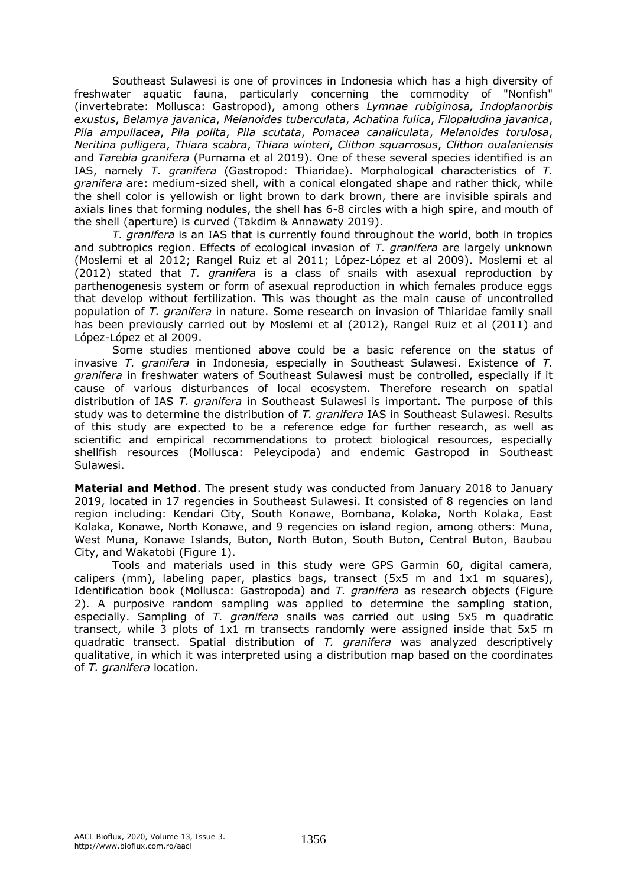Southeast Sulawesi is one of provinces in Indonesia which has a high diversity of freshwater aquatic fauna, particularly concerning the commodity of "Nonfish" (invertebrate: Mollusca: Gastropod), among others *Lymnae rubiginosa, Indoplanorbis exustus*, *Belamya javanica*, *Melanoides tuberculata*, *Achatina fulica*, *Filopaludina javanica*, *Pila ampullacea*, *Pila polita*, *Pila scutata*, *Pomacea canaliculata*, *Melanoides torulosa*, *Neritina pulligera*, *Thiara scabra*, *Thiara winteri*, *Clithon squarrosus*, *Clithon oualaniensis*  and *Tarebia granifera* (Purnama et al 2019). One of these several species identified is an IAS, namely *T. granifera* (Gastropod: Thiaridae). Morphological characteristics of *T. granifera* are: medium-sized shell, with a conical elongated shape and rather thick, while the shell color is yellowish or light brown to dark brown, there are invisible spirals and axials lines that forming nodules, the shell has 6-8 circles with a high spire, and mouth of the shell (aperture) is curved (Takdim & Annawaty 2019).

*T. granifera* is an IAS that is currently found throughout the world, both in tropics and subtropics region. Effects of ecological invasion of *T. granifera* are largely unknown (Moslemi et al 2012; Rangel Ruiz et al 2011; López-López et al 2009). Moslemi et al (2012) stated that *T. granifera* is a class of snails with asexual reproduction by parthenogenesis system or form of asexual reproduction in which females produce eggs that develop without fertilization. This was thought as the main cause of uncontrolled population of *T. granifera* in nature. Some research on invasion of Thiaridae family snail has been previously carried out by Moslemi et al (2012), Rangel Ruiz et al (2011) and López-López et al 2009.

Some studies mentioned above could be a basic reference on the status of invasive *T. granifera* in Indonesia, especially in Southeast Sulawesi. Existence of *T. granifera* in freshwater waters of Southeast Sulawesi must be controlled, especially if it cause of various disturbances of local ecosystem. Therefore research on spatial distribution of IAS *T. granifera* in Southeast Sulawesi is important. The purpose of this study was to determine the distribution of *T. granifera* IAS in Southeast Sulawesi. Results of this study are expected to be a reference edge for further research, as well as scientific and empirical recommendations to protect biological resources, especially shellfish resources (Mollusca: Peleycipoda) and endemic Gastropod in Southeast Sulawesi.

**Material and Method**. The present study was conducted from January 2018 to January 2019, located in 17 regencies in Southeast Sulawesi. It consisted of 8 regencies on land region including: Kendari City, South Konawe, Bombana, Kolaka, North Kolaka, East Kolaka, Konawe, North Konawe, and 9 regencies on island region, among others: Muna, West Muna, Konawe Islands, Buton, North Buton, South Buton, Central Buton, Baubau City, and Wakatobi (Figure 1).

Tools and materials used in this study were GPS Garmin 60, digital camera, calipers (mm), labeling paper, plastics bags, transect (5x5 m and 1x1 m squares), Identification book (Mollusca: Gastropoda) and *T. granifera* as research objects (Figure 2). A purposive random sampling was applied to determine the sampling station, especially. Sampling of *T. granifera* snails was carried out using 5x5 m quadratic transect, while 3 plots of 1x1 m transects randomly were assigned inside that 5x5 m quadratic transect. Spatial distribution of *T. granifera* was analyzed descriptively qualitative, in which it was interpreted using a distribution map based on the coordinates of *T. granifera* location.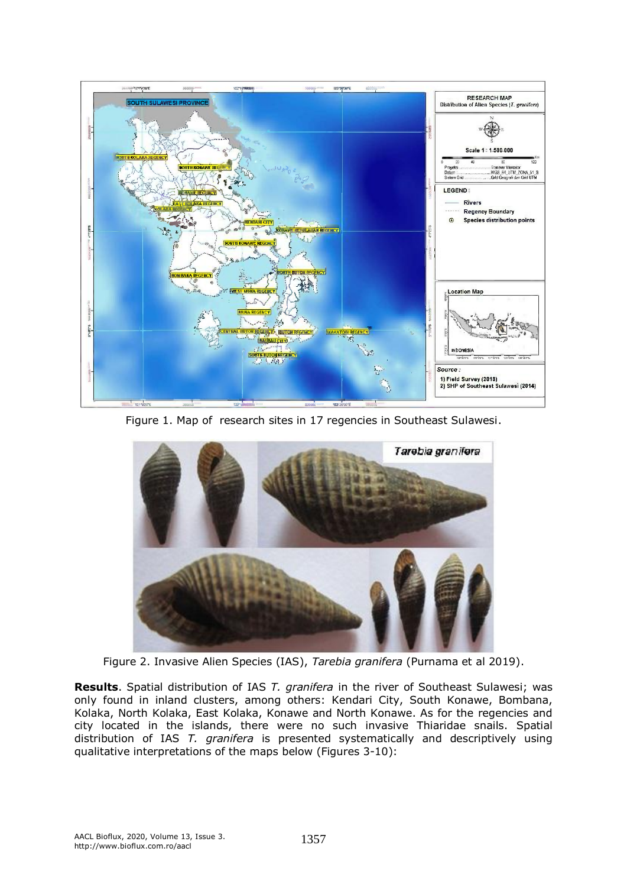

Figure 1. Map of research sites in 17 regencies in Southeast Sulawesi.



Figure 2. Invasive Alien Species (IAS), *Tarebia granifera* (Purnama et al 2019).

**Results**. Spatial distribution of IAS *T. granifera* in the river of Southeast Sulawesi; was only found in inland clusters, among others: Kendari City, South Konawe, Bombana, Kolaka, North Kolaka, East Kolaka, Konawe and North Konawe. As for the regencies and city located in the islands, there were no such invasive Thiaridae snails. Spatial distribution of IAS *T. granifera* is presented systematically and descriptively using qualitative interpretations of the maps below (Figures 3-10):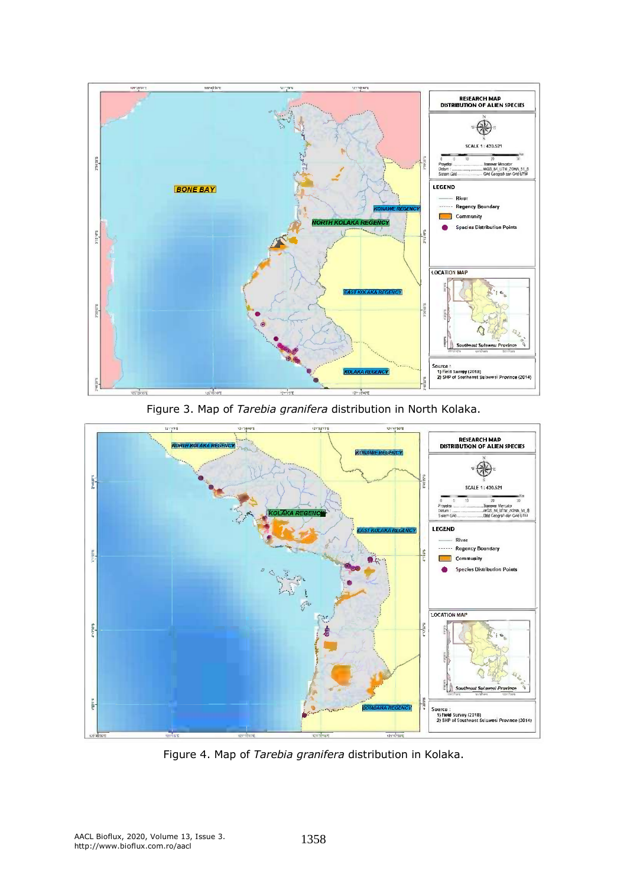

Figure 3. Map of *Tarebia granifera* distribution in North Kolaka.



Figure 4. Map of *Tarebia granifera* distribution in Kolaka.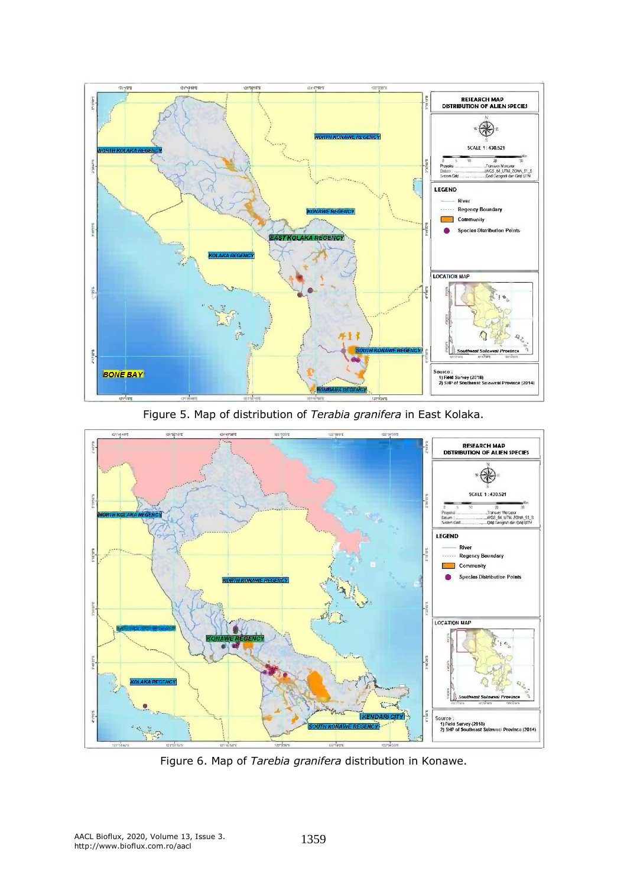

Figure 5. Map of distribution of *Terabia granifera* in East Kolaka.



Figure 6. Map of *Tarebia granifera* distribution in Konawe.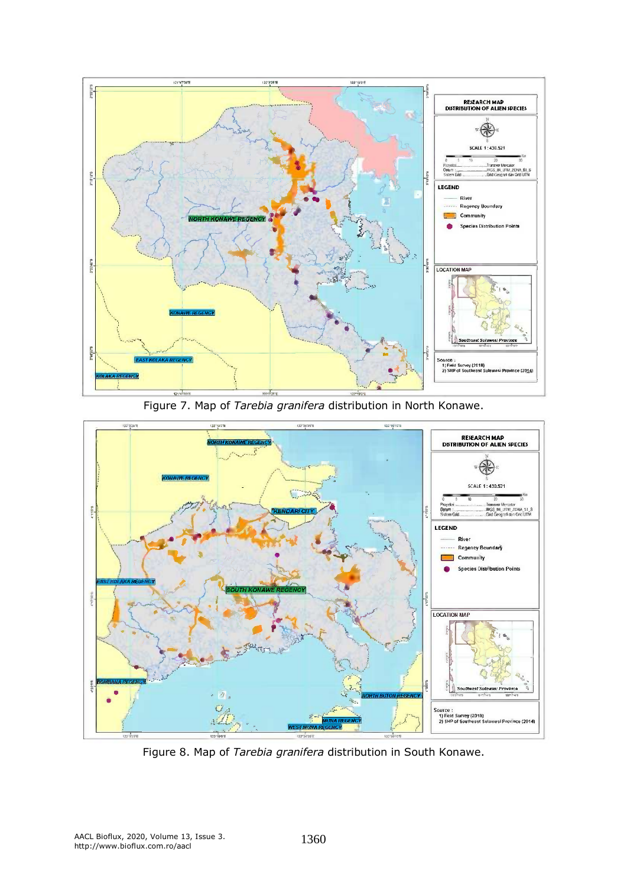

Figure 7. Map of *Tarebia granifera* distribution in North Konawe.



Figure 8. Map of *Tarebia granifera* distribution in South Konawe.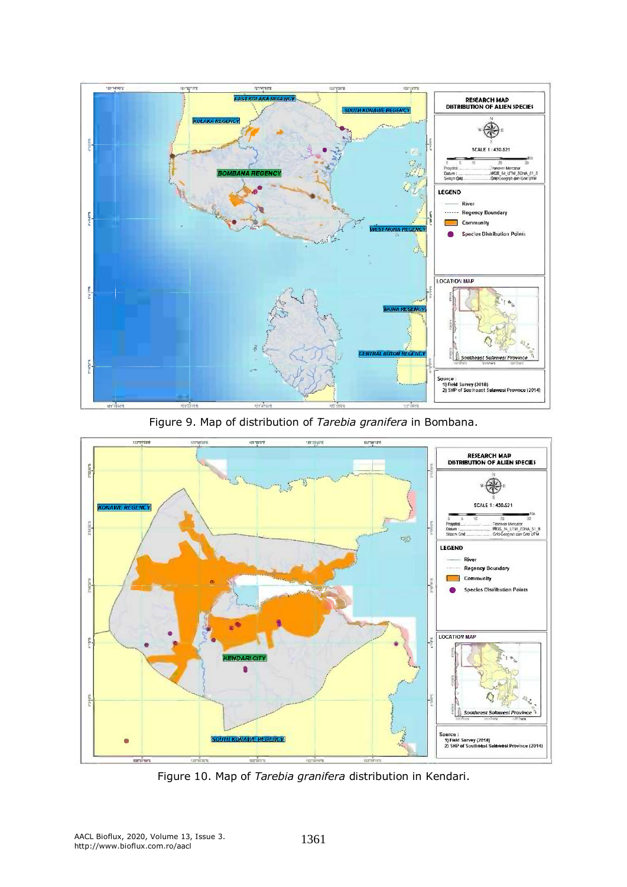

Figure 9. Map of distribution of *Tarebia granifera* in Bombana.



Figure 10. Map of *Tarebia granifera* distribution in Kendari.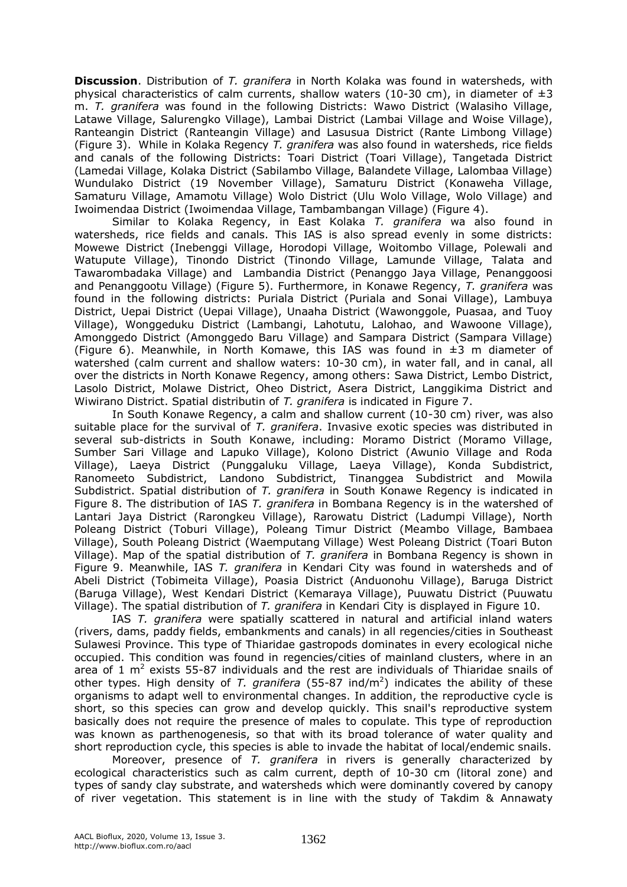**Discussion**. Distribution of *T. granifera* in North Kolaka was found in watersheds, with physical characteristics of calm currents, shallow waters (10-30 cm), in diameter of  $\pm 3$ m. *T. granifera* was found in the following Districts: Wawo District (Walasiho Village, Latawe Village, Salurengko Village), Lambai District (Lambai Village and Woise Village), Ranteangin District (Ranteangin Village) and Lasusua District (Rante Limbong Village) (Figure 3). While in Kolaka Regency *T. granifera* was also found in watersheds, rice fields and canals of the following Districts: Toari District (Toari Village), Tangetada District (Lamedai Village, Kolaka District (Sabilambo Village, Balandete Village, Lalombaa Village) Wundulako District (19 November Village), Samaturu District (Konaweha Village, Samaturu Village, Amamotu Village) Wolo District (Ulu Wolo Village, Wolo Village) and Iwoimendaa District (Iwoimendaa Village, Tambambangan Village) (Figure 4).

Similar to Kolaka Regency, in East Kolaka *T. granifera* wa also found in watersheds, rice fields and canals. This IAS is also spread evenly in some districts: Mowewe District (Inebenggi Village, Horodopi Village, Woitombo Village, Polewali and Watupute Village), Tinondo District (Tinondo Village, Lamunde Village, Talata and Tawarombadaka Village) and Lambandia District (Penanggo Jaya Village, Penanggoosi and Penanggootu Village) (Figure 5). Furthermore, in Konawe Regency, *T. granifera* was found in the following districts: Puriala District (Puriala and Sonai Village), Lambuya District, Uepai District (Uepai Village), Unaaha District (Wawonggole, Puasaa, and Tuoy Village), Wonggeduku District (Lambangi, Lahotutu, Lalohao, and Wawoone Village), Amonggedo District (Amonggedo Baru Village) and Sampara District (Sampara Village) (Figure 6). Meanwhile, in North Komawe, this IAS was found in  $\pm 3$  m diameter of watershed (calm current and shallow waters: 10-30 cm), in water fall, and in canal, all over the districts in North Konawe Regency, among others: Sawa District, Lembo District, Lasolo District, Molawe District, Oheo District, Asera District, Langgikima District and Wiwirano District. Spatial distributin of *T. granifera* is indicated in Figure 7.

In South Konawe Regency, a calm and shallow current (10-30 cm) river, was also suitable place for the survival of *T. granifera*. Invasive exotic species was distributed in several sub-districts in South Konawe, including: Moramo District (Moramo Village, Sumber Sari Village and Lapuko Village), Kolono District (Awunio Village and Roda Village), Laeya District (Punggaluku Village, Laeya Village), Konda Subdistrict, Ranomeeto Subdistrict, Landono Subdistrict, Tinanggea Subdistrict and Mowila Subdistrict. Spatial distribution of *T. granifera* in South Konawe Regency is indicated in Figure 8. The distribution of IAS *T. granifera* in Bombana Regency is in the watershed of Lantari Jaya District (Rarongkeu Village), Rarowatu District (Ladumpi Village), North Poleang District (Toburi Village), Poleang Timur District (Meambo Village, Bambaea Village), South Poleang District (Waemputang Village) West Poleang District (Toari Buton Village). Map of the spatial distribution of *T. granifera* in Bombana Regency is shown in Figure 9. Meanwhile, IAS *T. granifera* in Kendari City was found in watersheds and of Abeli District (Tobimeita Village), Poasia District (Anduonohu Village), Baruga District (Baruga Village), West Kendari District (Kemaraya Village), Puuwatu District (Puuwatu Village). The spatial distribution of *T. granifera* in Kendari City is displayed in Figure 10.

IAS *T. granifera* were spatially scattered in natural and artificial inland waters (rivers, dams, paddy fields, embankments and canals) in all regencies/cities in Southeast Sulawesi Province. This type of Thiaridae gastropods dominates in every ecological niche occupied. This condition was found in regencies/cities of mainland clusters, where in an area of 1  $m<sup>2</sup>$  exists 55-87 individuals and the rest are individuals of Thiaridae snails of other types. High density of T. granifera (55-87 ind/m<sup>2</sup>) indicates the ability of these organisms to adapt well to environmental changes. In addition, the reproductive cycle is short, so this species can grow and develop quickly. This snail's reproductive system basically does not require the presence of males to copulate. This type of reproduction was known as parthenogenesis, so that with its broad tolerance of water quality and short reproduction cycle, this species is able to invade the habitat of local/endemic snails.

Moreover, presence of *T. granifera* in rivers is generally characterized by ecological characteristics such as calm current, depth of 10-30 cm (litoral zone) and types of sandy clay substrate, and watersheds which were dominantly covered by canopy of river vegetation. This statement is in line with the study of Takdim & Annawaty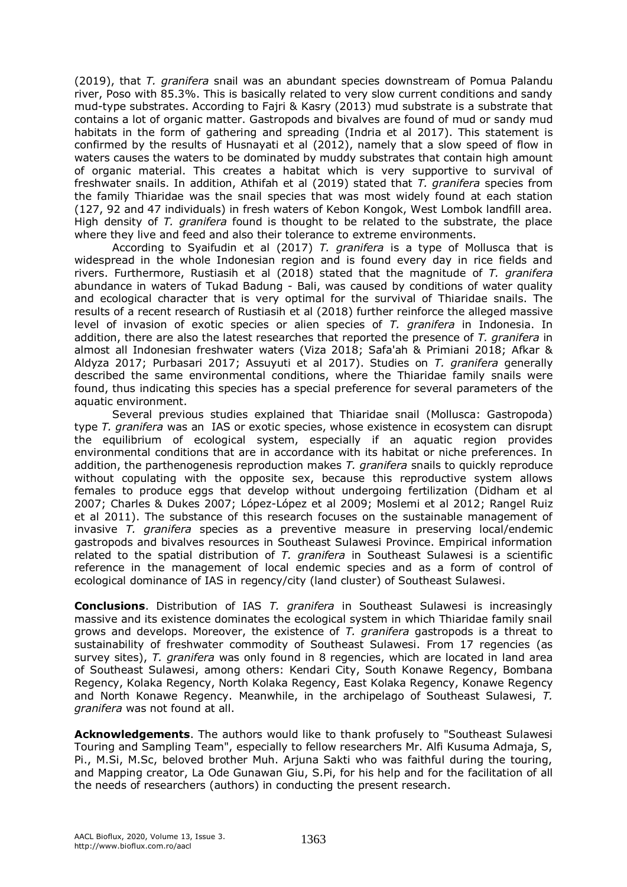(2019), that *T. granifera* snail was an abundant species downstream of Pomua Palandu river, Poso with 85.3%. This is basically related to very slow current conditions and sandy mud-type substrates. According to Fajri & Kasry (2013) mud substrate is a substrate that contains a lot of organic matter. Gastropods and bivalves are found of mud or sandy mud habitats in the form of gathering and spreading (Indria et al 2017). This statement is confirmed by the results of Husnayati et al (2012), namely that a slow speed of flow in waters causes the waters to be dominated by muddy substrates that contain high amount of organic material. This creates a habitat which is very supportive to survival of freshwater snails. In addition, Athifah et al (2019) stated that *T. granifera* species from the family Thiaridae was the snail species that was most widely found at each station (127, 92 and 47 individuals) in fresh waters of Kebon Kongok, West Lombok landfill area. High density of *T. granifera* found is thought to be related to the substrate, the place where they live and feed and also their tolerance to extreme environments.

According to Syaifudin et al (2017) *T. granifera* is a type of Mollusca that is widespread in the whole Indonesian region and is found every day in rice fields and rivers. Furthermore, Rustiasih et al (2018) stated that the magnitude of *T. granifera* abundance in waters of Tukad Badung - Bali, was caused by conditions of water quality and ecological character that is very optimal for the survival of Thiaridae snails. The results of a recent research of Rustiasih et al (2018) further reinforce the alleged massive level of invasion of exotic species or alien species of *T. granifera* in Indonesia. In addition, there are also the latest researches that reported the presence of *T. granifera* in almost all Indonesian freshwater waters (Viza 2018; Safa'ah & Primiani 2018; Afkar & Aldyza 2017; Purbasari 2017; Assuyuti et al 2017). Studies on *T. granifera* generally described the same environmental conditions, where the Thiaridae family snails were found, thus indicating this species has a special preference for several parameters of the aquatic environment.

Several previous studies explained that Thiaridae snail (Mollusca: Gastropoda) type *T. granifera* was an IAS or exotic species, whose existence in ecosystem can disrupt the equilibrium of ecological system, especially if an aquatic region provides environmental conditions that are in accordance with its habitat or niche preferences. In addition, the parthenogenesis reproduction makes *T. granifera* snails to quickly reproduce without copulating with the opposite sex, because this reproductive system allows females to produce eggs that develop without undergoing fertilization (Didham et al 2007; Charles & Dukes 2007; López-López et al 2009; Moslemi et al 2012; Rangel Ruiz et al 2011). The substance of this research focuses on the sustainable management of invasive *T. granifera* species as a preventive measure in preserving local/endemic gastropods and bivalves resources in Southeast Sulawesi Province. Empirical information related to the spatial distribution of *T. granifera* in Southeast Sulawesi is a scientific reference in the management of local endemic species and as a form of control of ecological dominance of IAS in regency/city (land cluster) of Southeast Sulawesi.

**Conclusions**. Distribution of IAS *T. granifera* in Southeast Sulawesi is increasingly massive and its existence dominates the ecological system in which Thiaridae family snail grows and develops. Moreover, the existence of *T. granifera* gastropods is a threat to sustainability of freshwater commodity of Southeast Sulawesi. From 17 regencies (as survey sites), *T. granifera* was only found in 8 regencies, which are located in land area of Southeast Sulawesi, among others: Kendari City, South Konawe Regency, Bombana Regency, Kolaka Regency, North Kolaka Regency, East Kolaka Regency, Konawe Regency and North Konawe Regency. Meanwhile, in the archipelago of Southeast Sulawesi, *T. granifera* was not found at all.

**Acknowledgements**. The authors would like to thank profusely to "Southeast Sulawesi Touring and Sampling Team", especially to fellow researchers Mr. Alfi Kusuma Admaja, S, Pi., M.Si, M.Sc, beloved brother Muh. Arjuna Sakti who was faithful during the touring, and Mapping creator, La Ode Gunawan Giu, S.Pi, for his help and for the facilitation of all the needs of researchers (authors) in conducting the present research.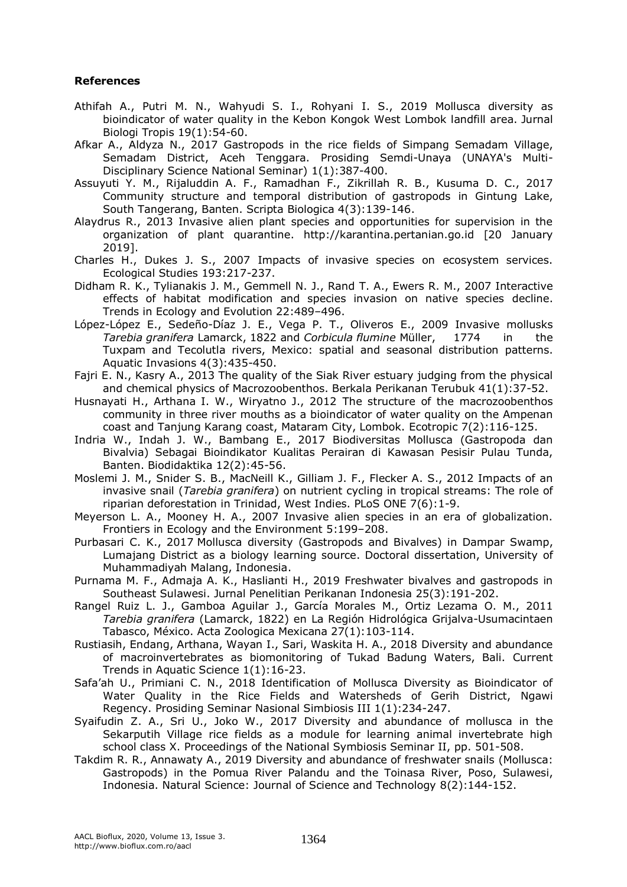## **References**

- Athifah A., Putri M. N., Wahyudi S. I., Rohyani I. S., 2019 Mollusca diversity as bioindicator of water quality in the Kebon Kongok West Lombok landfill area. Jurnal Biologi Tropis 19(1):54-60.
- Afkar A., Aldyza N., 2017 Gastropods in the rice fields of Simpang Semadam Village, Semadam District, Aceh Tenggara. Prosiding Semdi-Unaya (UNAYA's Multi-Disciplinary Science National Seminar) 1(1):387-400.
- Assuyuti Y. M., Rijaluddin A. F., Ramadhan F., Zikrillah R. B., Kusuma D. C., 2017 Community structure and temporal distribution of gastropods in Gintung Lake, South Tangerang, Banten. Scripta Biologica 4(3):139-146.
- Alaydrus R., 2013 Invasive alien plant species and opportunities for supervision in the organization of plant quarantine. http://karantina.pertanian.go.id [20 January 2019].
- Charles H., Dukes J. S., 2007 Impacts of invasive species on ecosystem services. Ecological Studies 193:217-237.
- Didham R. K., Tylianakis J. M., Gemmell N. J., Rand T. A., Ewers R. M., 2007 Interactive effects of habitat modification and species invasion on native species decline. Trends in Ecology and Evolution 22:489–496.
- López-López E., Sedeño-Díaz J. E., Vega P. T., Oliveros E., 2009 Invasive mollusks *Tarebia granifera* Lamarck, 1822 and *Corbicula flumine* Müller, 1774 in the Tuxpam and Tecolutla rivers, Mexico: spatial and seasonal distribution patterns. Aquatic Invasions 4(3):435-450.
- Fajri E. N., Kasry A., 2013 The quality of the Siak River estuary judging from the physical and chemical physics of Macrozoobenthos. Berkala Perikanan Terubuk 41(1):37-52.
- Husnayati H., Arthana I. W., Wiryatno J., 2012 The structure of the macrozoobenthos community in three river mouths as a bioindicator of water quality on the Ampenan coast and Tanjung Karang coast, Mataram City, Lombok. Ecotropic 7(2):116-125.
- Indria W., Indah J. W., Bambang E., 2017 Biodiversitas Mollusca (Gastropoda dan Bivalvia) Sebagai Bioindikator Kualitas Perairan di Kawasan Pesisir Pulau Tunda, Banten. Biodidaktika 12(2):45-56.
- Moslemi J. M., Snider S. B., MacNeill K., Gilliam J. F., Flecker A. S., 2012 Impacts of an invasive snail (*Tarebia granifera*) on nutrient cycling in tropical streams: The role of riparian deforestation in Trinidad, West Indies. PLoS ONE 7(6):1-9.
- Meyerson L. A., Mooney H. A., 2007 Invasive alien species in an era of globalization. Frontiers in Ecology and the Environment 5:199–208.
- Purbasari C. K., 2017 Mollusca diversity (Gastropods and Bivalves) in Dampar Swamp, Lumajang District as a biology learning source. Doctoral dissertation, University of Muhammadiyah Malang, Indonesia.
- Purnama M. F., Admaja A. K., Haslianti H., 2019 Freshwater bivalves and gastropods in Southeast Sulawesi. Jurnal Penelitian Perikanan Indonesia 25(3):191-202.
- Rangel Ruiz L. J., Gamboa Aguilar J., García Morales M., Ortiz Lezama O. M., 2011 *Tarebia granifera* (Lamarck, 1822) en La Región Hidrológica Grijalva-Usumacintaen Tabasco, México. Acta Zoologica Mexicana 27(1):103-114.
- Rustiasih, Endang, Arthana, Wayan I., Sari, Waskita H. A., 2018 Diversity and abundance of macroinvertebrates as biomonitoring of Tukad Badung Waters, Bali. Current Trends in Aquatic Science 1(1):16-23.
- Safa'ah U., Primiani C. N., 2018 Identification of Mollusca Diversity as Bioindicator of Water Quality in the Rice Fields and Watersheds of Gerih District, Ngawi Regency. Prosiding Seminar Nasional Simbiosis III 1(1):234-247.
- Syaifudin Z. A., Sri U., Joko W., 2017 Diversity and abundance of mollusca in the Sekarputih Village rice fields as a module for learning animal invertebrate high school class X. Proceedings of the National Symbiosis Seminar II, pp. 501-508.
- Takdim R. R., Annawaty A., 2019 Diversity and abundance of freshwater snails (Mollusca: Gastropods) in the Pomua River Palandu and the Toinasa River, Poso, Sulawesi, Indonesia. Natural Science: Journal of Science and Technology 8(2):144-152.